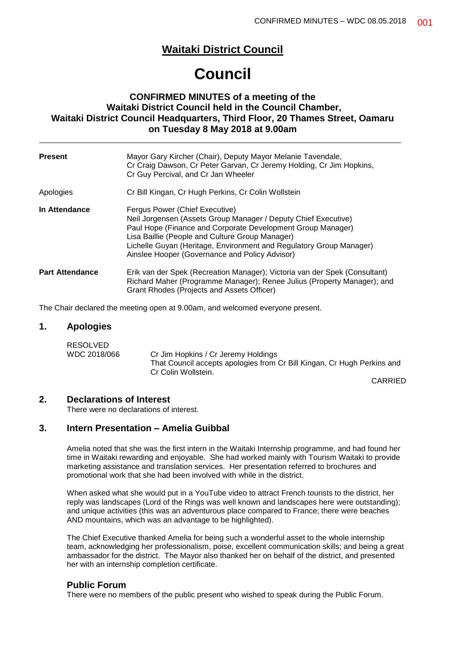# **Waitaki District Council**

# **Council**

# **CONFIRMED MINUTES of a meeting of the Waitaki District Council held in the Council Chamber, Waitaki District Council Headquarters, Third Floor, 20 Thames Street, Oamaru on Tuesday 8 May 2018 at 9.00am**

| <b>Present</b>         | Mayor Gary Kircher (Chair), Deputy Mayor Melanie Tavendale,<br>Cr Craig Dawson, Cr Peter Garvan, Cr Jeremy Holding, Cr Jim Hopkins,<br>Cr Guy Percival, and Cr Jan Wheeler                                                                                                                                                                  |
|------------------------|---------------------------------------------------------------------------------------------------------------------------------------------------------------------------------------------------------------------------------------------------------------------------------------------------------------------------------------------|
| Apologies              | Cr Bill Kingan, Cr Hugh Perkins, Cr Colin Wollstein                                                                                                                                                                                                                                                                                         |
| In Attendance          | Fergus Power (Chief Executive)<br>Neil Jorgensen (Assets Group Manager / Deputy Chief Executive)<br>Paul Hope (Finance and Corporate Development Group Manager)<br>Lisa Baillie (People and Culture Group Manager)<br>Lichelle Guyan (Heritage, Environment and Regulatory Group Manager)<br>Ainslee Hooper (Governance and Policy Advisor) |
| <b>Part Attendance</b> | Erik van der Spek (Recreation Manager); Victoria van der Spek (Consultant)<br>Richard Maher (Programme Manager); Renee Julius (Property Manager); and<br>Grant Rhodes (Projects and Assets Officer)                                                                                                                                         |

The Chair declared the meeting open at 9.00am, and welcomed everyone present.

# **1. Apologies**

| RESOLVED     |                                                                         |
|--------------|-------------------------------------------------------------------------|
| WDC 2018/066 | Cr Jim Hopkins / Cr Jeremy Holdings                                     |
|              | That Council accepts apologies from Cr Bill Kingan, Cr Hugh Perkins and |
|              | Cr Colin Wollstein.                                                     |

CARRIED

### **2. Declarations of Interest**

There were no declarations of interest.

# **3. Intern Presentation – Amelia Guibbal**

Amelia noted that she was the first intern in the Waitaki Internship programme, and had found her time in Waitaki rewarding and enjoyable. She had worked mainly with Tourism Waitaki to provide marketing assistance and translation services. Her presentation referred to brochures and promotional work that she had been involved with while in the district.

When asked what she would put in a YouTube video to attract French tourists to the district, her reply was landscapes (Lord of the Rings was well known and landscapes here were outstanding); and unique activities (this was an adventurous place compared to France; there were beaches AND mountains, which was an advantage to be highlighted).

The Chief Executive thanked Amelia for being such a wonderful asset to the whole internship team, acknowledging her professionalism, poise, excellent communication skills; and being a great ambassador for the district. The Mayor also thanked her on behalf of the district, and presented her with an internship completion certificate.

#### **Public Forum**

There were no members of the public present who wished to speak during the Public Forum.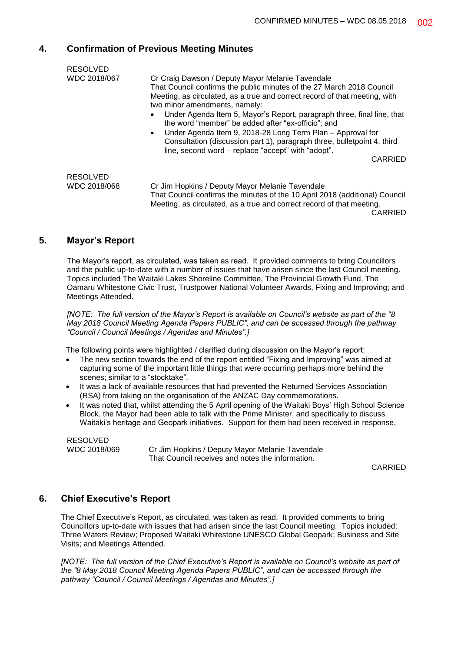# **4. Confirmation of Previous Meeting Minutes**

| <b>RESOLVED</b> |                                                                                                                                                                                      |
|-----------------|--------------------------------------------------------------------------------------------------------------------------------------------------------------------------------------|
| WDC 2018/067    | Cr Craig Dawson / Deputy Mayor Melanie Tavendale                                                                                                                                     |
|                 | That Council confirms the public minutes of the 27 March 2018 Council<br>Meeting, as circulated, as a true and correct record of that meeting, with<br>two minor amendments, namely: |
|                 | Under Agenda Item 5, Mayor's Report, paragraph three, final line, that<br>the word "member" be added after "ex-officio"; and                                                         |
|                 | Under Agenda Item 9, 2018-28 Long Term Plan – Approval for<br>$\bullet$                                                                                                              |
|                 | Consultation (discussion part 1), paragraph three, bulletpoint 4, third<br>line, second word – replace "accept" with "adopt".                                                        |
|                 | CARRIED                                                                                                                                                                              |
| <b>RESOLVED</b> |                                                                                                                                                                                      |
| WDC 2018/068    | Cr Jim Hopkins / Deputy Mayor Melanie Tavendale                                                                                                                                      |
|                 | That Council confirms the minutes of the 10 April 2018 (additional) Council<br>Meeting, as circulated, as a true and correct record of that meeting.                                 |

#### CARRIED

# **5. Mayor's Report**

The Mayor's report, as circulated, was taken as read. It provided comments to bring Councillors and the public up-to-date with a number of issues that have arisen since the last Council meeting. Topics included The Waitaki Lakes Shoreline Committee, The Provincial Growth Fund, The Oamaru Whitestone Civic Trust, Trustpower National Volunteer Awards, Fixing and Improving; and Meetings Attended.

*[NOTE: The full version of the Mayor's Report is available on Council's website as part of the "8 May 2018 Council Meeting Agenda Papers PUBLIC", and can be accessed through the pathway "Council / Council Meetings / Agendas and Minutes".]*

The following points were highlighted / clarified during discussion on the Mayor's report:

- The new section towards the end of the report entitled "Fixing and Improving" was aimed at capturing some of the important little things that were occurring perhaps more behind the scenes; similar to a "stocktake".
- It was a lack of available resources that had prevented the Returned Services Association (RSA) from taking on the organisation of the ANZAC Day commemorations.
- It was noted that, whilst attending the 5 April opening of the Waitaki Boys' High School Science Block, the Mayor had been able to talk with the Prime Minister, and specifically to discuss Waitaki's heritage and Geopark initiatives. Support for them had been received in response.

RESOLVED WDC 2018/069 Cr Jim Hopkins / Deputy Mayor Melanie Tavendale That Council receives and notes the information.

CARRIED

## **6. Chief Executive's Report**

The Chief Executive's Report, as circulated, was taken as read. It provided comments to bring Councillors up-to-date with issues that had arisen since the last Council meeting. Topics included: Three Waters Review; Proposed Waitaki Whitestone UNESCO Global Geopark; Business and Site Visits; and Meetings Attended.

*[NOTE: The full version of the Chief Executive's Report is available on Council's website as part of the "8 May 2018 Council Meeting Agenda Papers PUBLIC", and can be accessed through the pathway "Council / Council Meetings / Agendas and Minutes".]*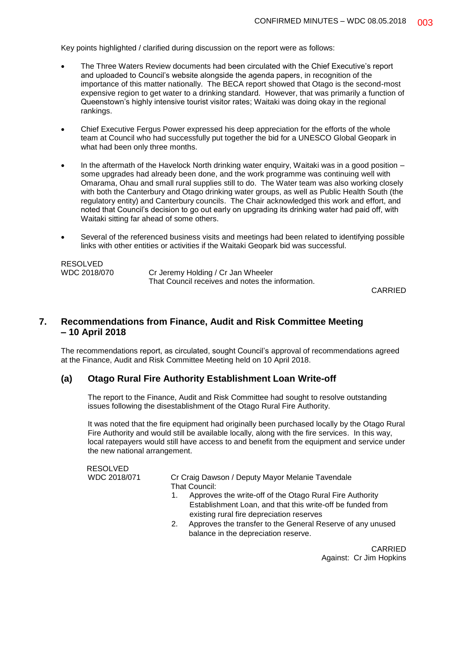Key points highlighted / clarified during discussion on the report were as follows:

- The Three Waters Review documents had been circulated with the Chief Executive's report and uploaded to Council's website alongside the agenda papers, in recognition of the importance of this matter nationally. The BECA report showed that Otago is the second-most expensive region to get water to a drinking standard. However, that was primarily a function of Queenstown's highly intensive tourist visitor rates; Waitaki was doing okay in the regional rankings.
- Chief Executive Fergus Power expressed his deep appreciation for the efforts of the whole team at Council who had successfully put together the bid for a UNESCO Global Geopark in what had been only three months.
- In the aftermath of the Havelock North drinking water enquiry, Waitaki was in a good position some upgrades had already been done, and the work programme was continuing well with Omarama, Ohau and small rural supplies still to do. The Water team was also working closely with both the Canterbury and Otago drinking water groups, as well as Public Health South (the regulatory entity) and Canterbury councils. The Chair acknowledged this work and effort, and noted that Council's decision to go out early on upgrading its drinking water had paid off, with Waitaki sitting far ahead of some others.
- Several of the referenced business visits and meetings had been related to identifying possible links with other entities or activities if the Waitaki Geopark bid was successful.

| RESOLVED     |                                                  |
|--------------|--------------------------------------------------|
| WDC 2018/070 | Cr Jeremy Holding / Cr Jan Wheeler               |
|              | That Council receives and notes the information. |

CARRIED

# **7. Recommendations from Finance, Audit and Risk Committee Meeting – 10 April 2018**

The recommendations report, as circulated, sought Council's approval of recommendations agreed at the Finance, Audit and Risk Committee Meeting held on 10 April 2018.

## **(a) Otago Rural Fire Authority Establishment Loan Write-off**

The report to the Finance, Audit and Risk Committee had sought to resolve outstanding issues following the disestablishment of the Otago Rural Fire Authority.

It was noted that the fire equipment had originally been purchased locally by the Otago Rural Fire Authority and would still be available locally, along with the fire services. In this way, local ratepayers would still have access to and benefit from the equipment and service under the new national arrangement.

RESOLVED<br>WDC 2018/071

Cr Craig Dawson / Deputy Mayor Melanie Tavendale That Council:

- 1. Approves the write-off of the Otago Rural Fire Authority Establishment Loan, and that this write-off be funded from existing rural fire depreciation reserves
- 2. Approves the transfer to the General Reserve of any unused balance in the depreciation reserve.

CARRIED Against: Cr Jim Hopkins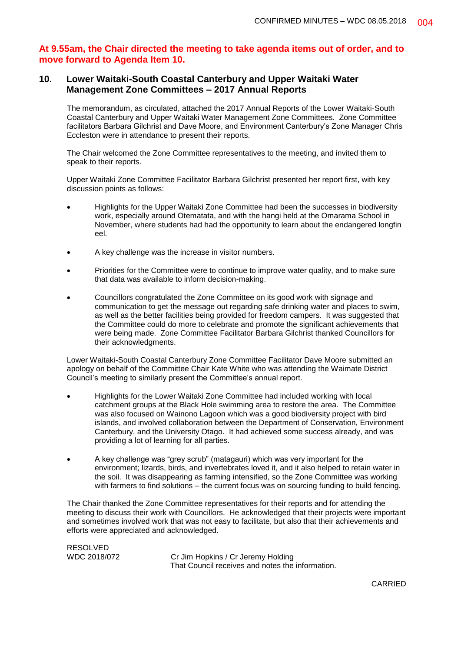# **At 9.55am, the Chair directed the meeting to take agenda items out of order, and to move forward to Agenda Item 10.**

# **10. Lower Waitaki-South Coastal Canterbury and Upper Waitaki Water Management Zone Committees – 2017 Annual Reports**

The memorandum, as circulated, attached the 2017 Annual Reports of the Lower Waitaki-South Coastal Canterbury and Upper Waitaki Water Management Zone Committees. Zone Committee facilitators Barbara Gilchrist and Dave Moore, and Environment Canterbury's Zone Manager Chris Eccleston were in attendance to present their reports.

The Chair welcomed the Zone Committee representatives to the meeting, and invited them to speak to their reports.

Upper Waitaki Zone Committee Facilitator Barbara Gilchrist presented her report first, with key discussion points as follows:

- Highlights for the Upper Waitaki Zone Committee had been the successes in biodiversity work, especially around Otematata, and with the hangi held at the Omarama School in November, where students had had the opportunity to learn about the endangered longfin eel.
- A key challenge was the increase in visitor numbers.
- Priorities for the Committee were to continue to improve water quality, and to make sure that data was available to inform decision-making.
- Councillors congratulated the Zone Committee on its good work with signage and communication to get the message out regarding safe drinking water and places to swim, as well as the better facilities being provided for freedom campers. It was suggested that the Committee could do more to celebrate and promote the significant achievements that were being made. Zone Committee Facilitator Barbara Gilchrist thanked Councillors for their acknowledgments.

Lower Waitaki-South Coastal Canterbury Zone Committee Facilitator Dave Moore submitted an apology on behalf of the Committee Chair Kate White who was attending the Waimate District Council's meeting to similarly present the Committee's annual report.

- Highlights for the Lower Waitaki Zone Committee had included working with local catchment groups at the Black Hole swimming area to restore the area. The Committee was also focused on Wainono Lagoon which was a good biodiversity project with bird islands, and involved collaboration between the Department of Conservation, Environment Canterbury, and the University Otago. It had achieved some success already, and was providing a lot of learning for all parties.
- A key challenge was "grey scrub" (matagauri) which was very important for the environment; lizards, birds, and invertebrates loved it, and it also helped to retain water in the soil. It was disappearing as farming intensified, so the Zone Committee was working with farmers to find solutions – the current focus was on sourcing funding to build fencing.

The Chair thanked the Zone Committee representatives for their reports and for attending the meeting to discuss their work with Councillors. He acknowledged that their projects were important and sometimes involved work that was not easy to facilitate, but also that their achievements and efforts were appreciated and acknowledged.

RESOLVED<br>WDC 2018/072

Cr Jim Hopkins / Cr Jeremy Holding That Council receives and notes the information.

CARRIED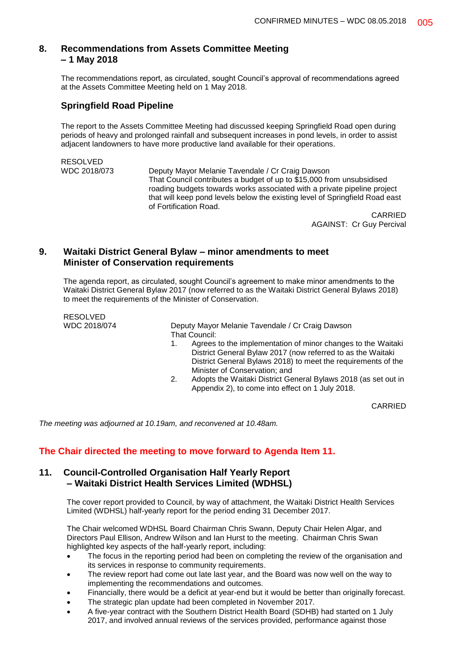# **8. Recommendations from Assets Committee Meeting – 1 May 2018**

The recommendations report, as circulated, sought Council's approval of recommendations agreed at the Assets Committee Meeting held on 1 May 2018.

# **Springfield Road Pipeline**

The report to the Assets Committee Meeting had discussed keeping Springfield Road open during periods of heavy and prolonged rainfall and subsequent increases in pond levels, in order to assist adjacent landowners to have more productive land available for their operations.

```
RESOLVED<br>WDC 2018/073
```
Deputy Mayor Melanie Tavendale / Cr Craig Dawson That Council contributes a budget of up to \$15,000 from unsubsidised roading budgets towards works associated with a private pipeline project that will keep pond levels below the existing level of Springfield Road east of Fortification Road.

CARRIED AGAINST: Cr Guy Percival

# **9. Waitaki District General Bylaw – minor amendments to meet Minister of Conservation requirements**

The agenda report, as circulated, sought Council's agreement to make minor amendments to the Waitaki District General Bylaw 2017 (now referred to as the Waitaki District General Bylaws 2018) to meet the requirements of the Minister of Conservation.

RESOLVED

WDC 2018/074 Deputy Mayor Melanie Tavendale / Cr Craig Dawson That Council:

- 1. Agrees to the implementation of minor changes to the Waitaki District General Bylaw 2017 (now referred to as the Waitaki District General Bylaws 2018) to meet the requirements of the Minister of Conservation; and
- 2. Adopts the Waitaki District General Bylaws 2018 (as set out in Appendix 2), to come into effect on 1 July 2018.

CARRIED

*The meeting was adjourned at 10.19am, and reconvened at 10.48am.*

# **The Chair directed the meeting to move forward to Agenda Item 11.**

# **11. Council-Controlled Organisation Half Yearly Report – Waitaki District Health Services Limited (WDHSL)**

The cover report provided to Council, by way of attachment, the Waitaki District Health Services Limited (WDHSL) half-yearly report for the period ending 31 December 2017.

The Chair welcomed WDHSL Board Chairman Chris Swann, Deputy Chair Helen Algar, and Directors Paul Ellison, Andrew Wilson and Ian Hurst to the meeting. Chairman Chris Swan highlighted key aspects of the half-yearly report, including:

- The focus in the reporting period had been on completing the review of the organisation and its services in response to community requirements.
- The review report had come out late last year, and the Board was now well on the way to implementing the recommendations and outcomes.
- Financially, there would be a deficit at year-end but it would be better than originally forecast.
- The strategic plan update had been completed in November 2017.
- A five-year contract with the Southern District Health Board (SDHB) had started on 1 July 2017, and involved annual reviews of the services provided, performance against those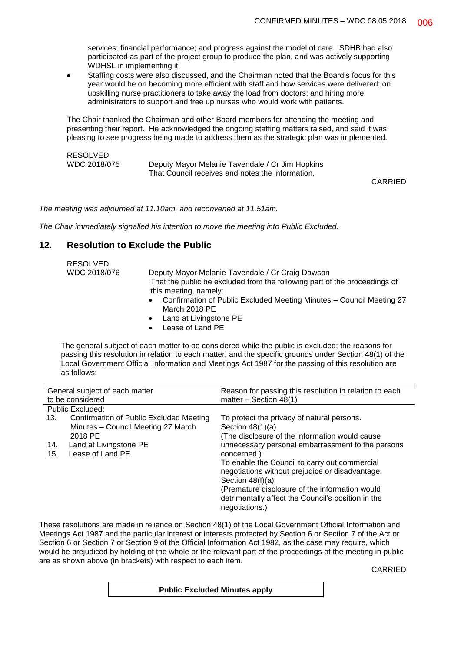services; financial performance; and progress against the model of care. SDHB had also participated as part of the project group to produce the plan, and was actively supporting WDHSL in implementing it.

 Staffing costs were also discussed, and the Chairman noted that the Board's focus for this year would be on becoming more efficient with staff and how services were delivered; on upskilling nurse practitioners to take away the load from doctors; and hiring more administrators to support and free up nurses who would work with patients.

The Chair thanked the Chairman and other Board members for attending the meeting and presenting their report. He acknowledged the ongoing staffing matters raised, and said it was pleasing to see progress being made to address them as the strategic plan was implemented.

| RESOLVED     |                                                  |  |
|--------------|--------------------------------------------------|--|
| WDC 2018/075 | Deputy Mayor Melanie Tavendale / Cr Jim Hopkins  |  |
|              | That Council receives and notes the information. |  |

CARRIED

*The meeting was adjourned at 11.10am, and reconvened at 11.51am.*

*The Chair immediately signalled his intention to move the meeting into Public Excluded.*

# **12. Resolution to Exclude the Public**

RESOLVED

| <b>RESOLVED</b><br>WDC 2018/076 | Deputy Mayor Melanie Tavendale / Cr Craig Dawson<br>That the public be excluded from the following part of the proceedings of<br>this meeting, namely:<br>Confirmation of Public Excluded Meeting Minutes - Council Meeting 27<br>$\bullet$<br>March 2018 PE<br>Land at Livingstone PE<br>$\bullet$<br>Lease of Land PE<br>$\bullet$ |
|---------------------------------|--------------------------------------------------------------------------------------------------------------------------------------------------------------------------------------------------------------------------------------------------------------------------------------------------------------------------------------|
|                                 |                                                                                                                                                                                                                                                                                                                                      |

The general subject of each matter to be considered while the public is excluded; the reasons for passing this resolution in relation to each matter, and the specific grounds under Section 48(1) of the Local Government Official Information and Meetings Act 1987 for the passing of this resolution are as follows:

| General subject of each matter |                                                | Reason for passing this resolution in relation to each               |
|--------------------------------|------------------------------------------------|----------------------------------------------------------------------|
| to be considered               |                                                | matter $-$ Section 48(1)                                             |
|                                | Public Excluded:                               |                                                                      |
| 13.                            | <b>Confirmation of Public Excluded Meeting</b> | To protect the privacy of natural persons.                           |
|                                | Minutes - Council Meeting 27 March             | Section $48(1)(a)$                                                   |
|                                | 2018 PE                                        | (The disclosure of the information would cause)                      |
| 14.                            | Land at Livingstone PE                         | unnecessary personal embarrassment to the persons                    |
| 15.                            | Lease of Land PE                               | concerned.)                                                          |
|                                |                                                | To enable the Council to carry out commercial                        |
|                                |                                                | negotiations without prejudice or disadvantage.                      |
|                                |                                                | Section $48(l)(a)$                                                   |
|                                |                                                | (Premature disclosure of the information would                       |
|                                |                                                | detrimentally affect the Council's position in the<br>negotiations.) |

These resolutions are made in reliance on Section 48(1) of the Local Government Official Information and Meetings Act 1987 and the particular interest or interests protected by Section 6 or Section 7 of the Act or Section 6 or Section 7 or Section 9 of the Official Information Act 1982, as the case may require, which would be prejudiced by holding of the whole or the relevant part of the proceedings of the meeting in public are as shown above (in brackets) with respect to each item.

CARRIED

**Public Excluded Minutes apply**